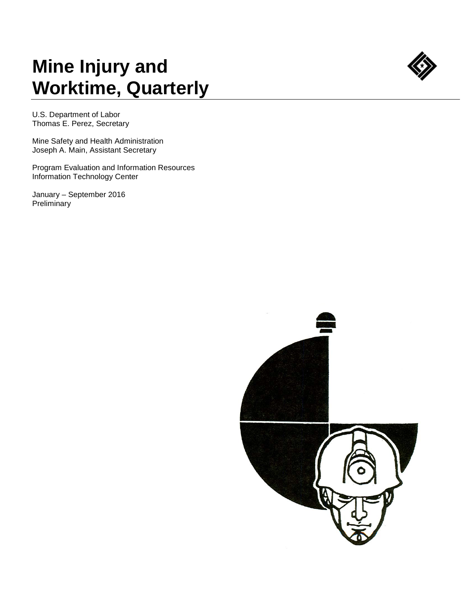## **Mine Injury and Worktime, Quarterly**



U.S. Department of Labor Thomas E. Perez, Secretary

Mine Safety and Health Administration Joseph A. Main, Assistant Secretary

Program Evaluation and Information Resources Information Technology Center

January – September 2016 **Preliminary** 

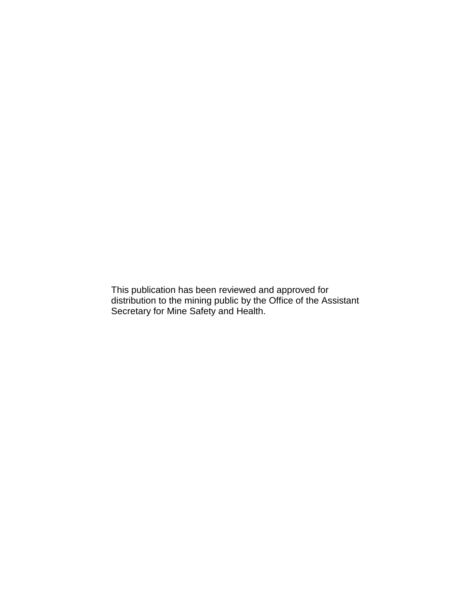This publication has been reviewed and approved for distribution to the mining public by the Office of the Assistant Secretary for Mine Safety and Health.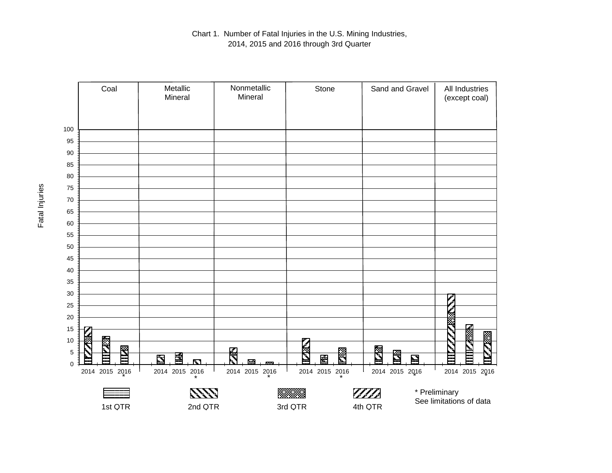

Chart 1. Number of Fatal Injuries in the U.S. Mining Industries, 2014, 2015 and 2016 through 3rd Quarter